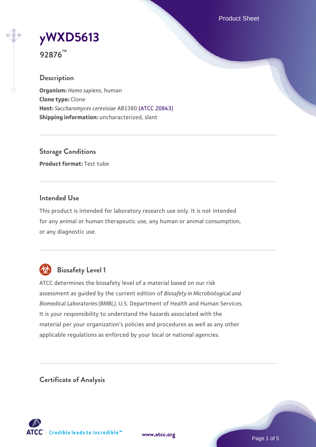Product Sheet

# **[yWXD5613](https://www.atcc.org/products/92876)**

**92876™**

# **Description**

**Organism:** *Homo sapiens*, human **Clone type:** Clone **Host:** *Saccharomyces cerevisiae* AB1380 [\(ATCC 20843\)](https://www.atcc.org/products/20843) **Shipping information:** uncharacterized, slant

**Storage Conditions Product format:** Test tube

# **Intended Use**

This product is intended for laboratory research use only. It is not intended for any animal or human therapeutic use, any human or animal consumption, or any diagnostic use.



# **Biosafety Level 1**

ATCC determines the biosafety level of a material based on our risk assessment as guided by the current edition of *Biosafety in Microbiological and Biomedical Laboratories (BMBL)*, U.S. Department of Health and Human Services. It is your responsibility to understand the hazards associated with the material per your organization's policies and procedures as well as any other applicable regulations as enforced by your local or national agencies.

**Certificate of Analysis**

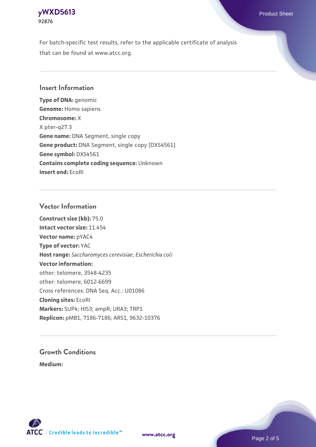# **[yWXD5613](https://www.atcc.org/products/92876)** Product Sheet **92876**

For batch-specific test results, refer to the applicable certificate of analysis that can be found at www.atcc.org.

# **Insert Information**

**Type of DNA:** genomic **Genome:** Homo sapiens **Chromosome:** X X pter-q27.3 **Gene name:** DNA Segment, single copy **Gene product:** DNA Segment, single copy [DXS4561] **Gene symbol:** DXS4561 **Contains complete coding sequence:** Unknown **Insert end:** EcoRI

### **Vector Information**

**Construct size (kb):** 75.0 **Intact vector size:** 11.454 **Vector name:** pYAC4 **Type of vector:** YAC **Host range:** *Saccharomyces cerevisiae*; *Escherichia coli* **Vector information:** other: telomere, 3548-4235 other: telomere, 6012-6699 Cross references: DNA Seq. Acc.: U01086 **Cloning sites:** EcoRI **Markers:** SUP4; HIS3; ampR; URA3; TRP1 **Replicon:** pMB1, 7186-7186; ARS1, 9632-10376

# **Growth Conditions**

**Medium:** 



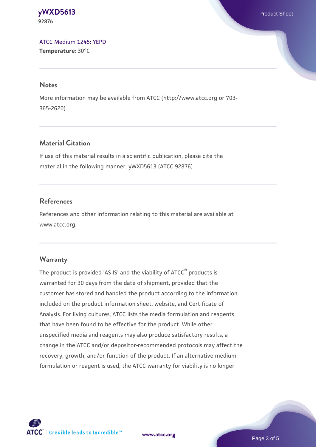#### **[yWXD5613](https://www.atcc.org/products/92876)** Product Sheet **92876**

[ATCC Medium 1245: YEPD](https://www.atcc.org/-/media/product-assets/documents/microbial-media-formulations/1/2/4/5/atcc-medium-1245.pdf?rev=705ca55d1b6f490a808a965d5c072196) **Temperature:** 30°C

#### **Notes**

More information may be available from ATCC (http://www.atcc.org or 703- 365-2620).

# **Material Citation**

If use of this material results in a scientific publication, please cite the material in the following manner: yWXD5613 (ATCC 92876)

# **References**

References and other information relating to this material are available at www.atcc.org.

# **Warranty**

The product is provided 'AS IS' and the viability of ATCC® products is warranted for 30 days from the date of shipment, provided that the customer has stored and handled the product according to the information included on the product information sheet, website, and Certificate of Analysis. For living cultures, ATCC lists the media formulation and reagents that have been found to be effective for the product. While other unspecified media and reagents may also produce satisfactory results, a change in the ATCC and/or depositor-recommended protocols may affect the recovery, growth, and/or function of the product. If an alternative medium formulation or reagent is used, the ATCC warranty for viability is no longer



**[www.atcc.org](http://www.atcc.org)**

Page 3 of 5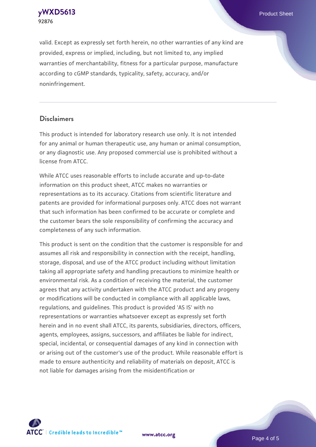**[yWXD5613](https://www.atcc.org/products/92876)** Product Sheet **92876**

valid. Except as expressly set forth herein, no other warranties of any kind are provided, express or implied, including, but not limited to, any implied warranties of merchantability, fitness for a particular purpose, manufacture according to cGMP standards, typicality, safety, accuracy, and/or noninfringement.

#### **Disclaimers**

This product is intended for laboratory research use only. It is not intended for any animal or human therapeutic use, any human or animal consumption, or any diagnostic use. Any proposed commercial use is prohibited without a license from ATCC.

While ATCC uses reasonable efforts to include accurate and up-to-date information on this product sheet, ATCC makes no warranties or representations as to its accuracy. Citations from scientific literature and patents are provided for informational purposes only. ATCC does not warrant that such information has been confirmed to be accurate or complete and the customer bears the sole responsibility of confirming the accuracy and completeness of any such information.

This product is sent on the condition that the customer is responsible for and assumes all risk and responsibility in connection with the receipt, handling, storage, disposal, and use of the ATCC product including without limitation taking all appropriate safety and handling precautions to minimize health or environmental risk. As a condition of receiving the material, the customer agrees that any activity undertaken with the ATCC product and any progeny or modifications will be conducted in compliance with all applicable laws, regulations, and guidelines. This product is provided 'AS IS' with no representations or warranties whatsoever except as expressly set forth herein and in no event shall ATCC, its parents, subsidiaries, directors, officers, agents, employees, assigns, successors, and affiliates be liable for indirect, special, incidental, or consequential damages of any kind in connection with or arising out of the customer's use of the product. While reasonable effort is made to ensure authenticity and reliability of materials on deposit, ATCC is not liable for damages arising from the misidentification or



**[www.atcc.org](http://www.atcc.org)**

Page 4 of 5